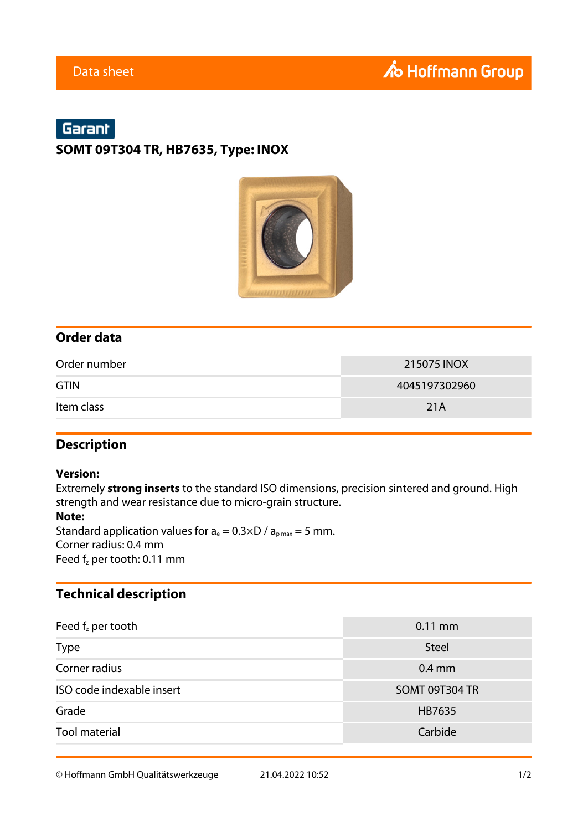# Garant

#### **SOMT 09T304 TR, HB7635, Type: INOX**



#### **Order data**

| Order number | 215075 INOX   |  |  |
|--------------|---------------|--|--|
| <b>GTIN</b>  | 4045197302960 |  |  |
| Item class   | 21A           |  |  |

#### **Description**

#### **Version:**

Extremely **strong inserts** to the standard ISO dimensions, precision sintered and ground. High strength and wear resistance due to micro-grain structure. **Note:**

Standard application values for  $a_e = 0.3 \times D / a_{pmax} = 5$  mm. Corner radius: 0.4 mm Feed  $f<sub>z</sub>$  per tooth: 0.11 mm

### **Technical description**

| Feed $f_z$ per tooth      | $0.11$ mm      |  |  |
|---------------------------|----------------|--|--|
| <b>Type</b>               | <b>Steel</b>   |  |  |
| Corner radius             | $0.4$ mm       |  |  |
| ISO code indexable insert | SOMT 09T304 TR |  |  |
| Grade                     | HB7635         |  |  |
| <b>Tool material</b>      | Carbide        |  |  |